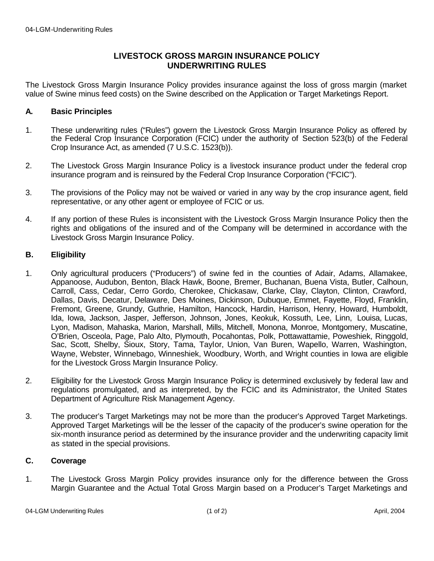## **LIVESTOCK GROSS MARGIN INSURANCE POLICY UNDERWRITING RULES**

The Livestock Gross Margin Insurance Policy provides insurance against the loss of gross margin (market value of Swine minus feed costs) on the Swine described on the Application or Target Marketings Report.

## **A. Basic Principles**

- 1. These underwriting rules ("Rules") govern the Livestock Gross Margin Insurance Policy as offered by the Federal Crop Insurance Corporation (FCIC) under the authority of Section 523(b) of the Federal Crop Insurance Act, as amended (7 U.S.C. 1523(b)).
- 2. The Livestock Gross Margin Insurance Policy is a livestock insurance product under the federal crop insurance program and is reinsured by the Federal Crop Insurance Corporation ("FCIC").
- 3. The provisions of the Policy may not be waived or varied in any way by the crop insurance agent, field representative, or any other agent or employee of FCIC or us.
- 4. If any portion of these Rules is inconsistent with the Livestock Gross Margin Insurance Policy then the rights and obligations of the insured and of the Company will be determined in accordance with the Livestock Gross Margin Insurance Policy.

## **B. Eligibility**

- 1. Only agricultural producers ("Producers") of swine fed in the counties of Adair, Adams, Allamakee, Appanoose, Audubon, Benton, Black Hawk, Boone, Bremer, Buchanan, Buena Vista, Butler, Calhoun, Carroll, Cass, Cedar, Cerro Gordo, Cherokee, Chickasaw, Clarke, Clay, Clayton, Clinton, Crawford, Dallas, Davis, Decatur, Delaware, Des Moines, Dickinson, Dubuque, Emmet, Fayette, Floyd, Franklin, Fremont, Greene, Grundy, Guthrie, Hamilton, Hancock, Hardin, Harrison, Henry, Howard, Humboldt, Ida, Iowa, Jackson, Jasper, Jefferson, Johnson, Jones, Keokuk, Kossuth, Lee, Linn, Louisa, Lucas, Lyon, Madison, Mahaska, Marion, Marshall, Mills, Mitchell, Monona, Monroe, Montgomery, Muscatine, O'Brien, Osceola, Page, Palo Alto, Plymouth, Pocahontas, Polk, Pottawattamie, Poweshiek, Ringgold, Sac, Scott, Shelby, Sioux, Story, Tama, Taylor, Union, Van Buren, Wapello, Warren, Washington, Wayne, Webster, Winnebago, Winneshiek, Woodbury, Worth, and Wright counties in Iowa are eligible for the Livestock Gross Margin Insurance Policy.
- 2. Eligibility for the Livestock Gross Margin Insurance Policy is determined exclusively by federal law and regulations promulgated, and as interpreted, by the FCIC and its Administrator, the United States Department of Agriculture Risk Management Agency.
- 3. The producer's Target Marketings may not be more than the producer's Approved Target Marketings. Approved Target Marketings will be the lesser of the capacity of the producer's swine operation for the six-month insurance period as determined by the insurance provider and the underwriting capacity limit as stated in the special provisions.

## **C. Coverage**

1. The Livestock Gross Margin Policy provides insurance only for the difference between the Gross Margin Guarantee and the Actual Total Gross Margin based on a Producer's Target Marketings and